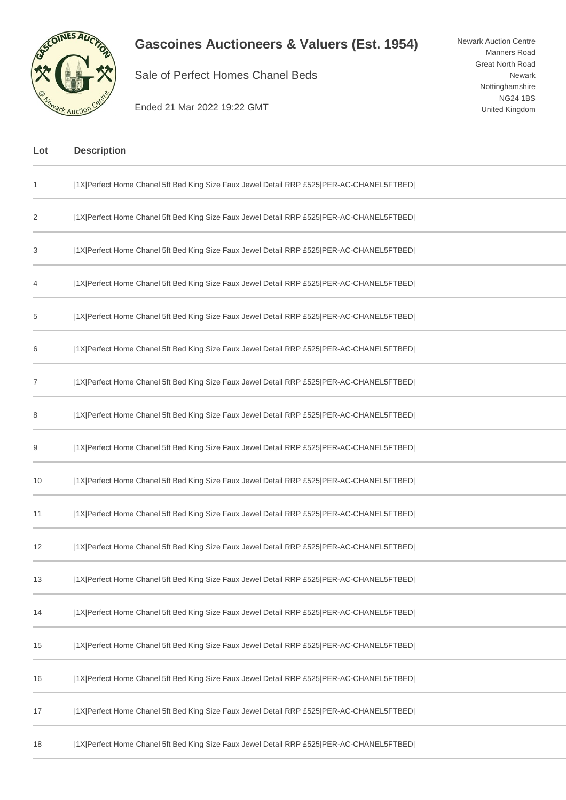

## **Gascoines Auctioneers & Valuers (Est. 1954)**

Sale of Perfect Homes Chanel Beds

Newark Auction Centre Manners Road Great North Road Newark Nottinghamshire NG24 1BS United Kingdom

Ended 21 Mar 2022 19:22 GMT

| Lot | <b>Description</b>                                                                       |
|-----|------------------------------------------------------------------------------------------|
| 1   | [1X]Perfect Home Chanel 5ft Bed King Size Faux Jewel Detail RRP £525 PER-AC-CHANEL5FTBED |
| 2   | [1X]Perfect Home Chanel 5ft Bed King Size Faux Jewel Detail RRP £525 PER-AC-CHANEL5FTBED |
| 3   | [1X]Perfect Home Chanel 5ft Bed King Size Faux Jewel Detail RRP £525 PER-AC-CHANEL5FTBED |
| 4   | 1X Perfect Home Chanel 5ft Bed King Size Faux Jewel Detail RRP £525 PER-AC-CHANEL5FTBED  |
| 5   | [1X]Perfect Home Chanel 5ft Bed King Size Faux Jewel Detail RRP £525 PER-AC-CHANEL5FTBED |
| 6   | [1X]Perfect Home Chanel 5ft Bed King Size Faux Jewel Detail RRP £525 PER-AC-CHANEL5FTBED |
| 7   | [1X]Perfect Home Chanel 5ft Bed King Size Faux Jewel Detail RRP £525 PER-AC-CHANEL5FTBED |
| 8   | [1X]Perfect Home Chanel 5ft Bed King Size Faux Jewel Detail RRP £525 PER-AC-CHANEL5FTBED |
| 9   | [1X]Perfect Home Chanel 5ft Bed King Size Faux Jewel Detail RRP £525 PER-AC-CHANEL5FTBED |
| 10  | 1X Perfect Home Chanel 5ft Bed King Size Faux Jewel Detail RRP £525 PER-AC-CHANEL5FTBED  |
| 11  | [1X]Perfect Home Chanel 5ft Bed King Size Faux Jewel Detail RRP £525 PER-AC-CHANEL5FTBED |
| 12  | [1X]Perfect Home Chanel 5ft Bed King Size Faux Jewel Detail RRP £525 PER-AC-CHANEL5FTBED |
| 13  | 1X Perfect Home Chanel 5ft Bed King Size Faux Jewel Detail RRP £525 PER-AC-CHANEL5FTBED  |
| 14  | 1X Perfect Home Chanel 5ft Bed King Size Faux Jewel Detail RRP £525 PER-AC-CHANEL5FTBED  |
| 15  | 1X Perfect Home Chanel 5ft Bed King Size Faux Jewel Detail RRP £525 PER-AC-CHANEL5FTBED  |
| 16  | [1X]Perfect Home Chanel 5ft Bed King Size Faux Jewel Detail RRP £525 PER-AC-CHANEL5FTBED |
| 17  | 1X Perfect Home Chanel 5ft Bed King Size Faux Jewel Detail RRP £525 PER-AC-CHANEL5FTBED  |
| 18  | [1X]Perfect Home Chanel 5ft Bed King Size Faux Jewel Detail RRP £525 PER-AC-CHANEL5FTBED |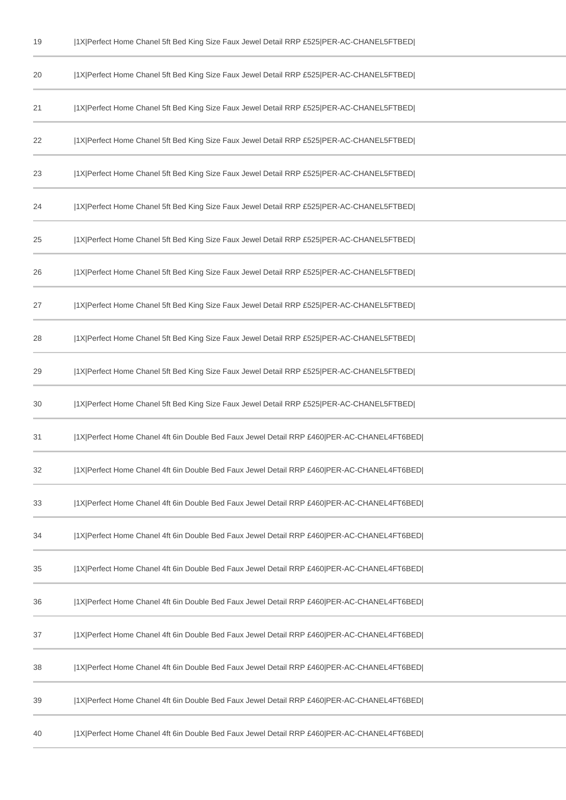| 19 | 1X Perfect Home Chanel 5ft Bed King Size Faux Jewel Detail RRP £525 PER-AC-CHANEL5FTBED   |
|----|-------------------------------------------------------------------------------------------|
| 20 | [1X Perfect Home Chanel 5ft Bed King Size Faux Jewel Detail RRP £525 PER-AC-CHANEL5FTBED] |
| 21 | 1X Perfect Home Chanel 5ft Bed King Size Faux Jewel Detail RRP £525 PER-AC-CHANEL5FTBED   |
| 22 | [1X Perfect Home Chanel 5ft Bed King Size Faux Jewel Detail RRP £525 PER-AC-CHANEL5FTBED] |
| 23 | 1X Perfect Home Chanel 5ft Bed King Size Faux Jewel Detail RRP £525 PER-AC-CHANEL5FTBED   |
| 24 | [1X Perfect Home Chanel 5ft Bed King Size Faux Jewel Detail RRP £525 PER-AC-CHANEL5FTBED] |
| 25 | [1X]Perfect Home Chanel 5ft Bed King Size Faux Jewel Detail RRP £525 PER-AC-CHANEL5FTBED] |
| 26 | [1X]Perfect Home Chanel 5ft Bed King Size Faux Jewel Detail RRP £525 PER-AC-CHANEL5FTBED] |
| 27 | 1X Perfect Home Chanel 5ft Bed King Size Faux Jewel Detail RRP £525 PER-AC-CHANEL5FTBED   |
| 28 | 1X Perfect Home Chanel 5ft Bed King Size Faux Jewel Detail RRP £525 PER-AC-CHANEL5FTBED   |
| 29 | [1X Perfect Home Chanel 5ft Bed King Size Faux Jewel Detail RRP £525 PER-AC-CHANEL5FTBED] |
| 30 | 1X Perfect Home Chanel 5ft Bed King Size Faux Jewel Detail RRP £525 PER-AC-CHANEL5FTBED   |
| 31 | 1X Perfect Home Chanel 4ft 6in Double Bed Faux Jewel Detail RRP £460 PER-AC-CHANEL4FT6BED |
| 32 | 1X Perfect Home Chanel 4ft 6in Double Bed Faux Jewel Detail RRP £460 PER-AC-CHANEL4FT6BED |
| 33 | 1X Perfect Home Chanel 4ft 6in Double Bed Faux Jewel Detail RRP £460 PER-AC-CHANEL4FT6BED |
| 34 | 1X Perfect Home Chanel 4ft 6in Double Bed Faux Jewel Detail RRP £460 PER-AC-CHANEL4FT6BED |
| 35 | 1X Perfect Home Chanel 4ft 6in Double Bed Faux Jewel Detail RRP £460 PER-AC-CHANEL4FT6BED |
| 36 | 1X Perfect Home Chanel 4ft 6in Double Bed Faux Jewel Detail RRP £460 PER-AC-CHANEL4FT6BED |
| 37 | 1X Perfect Home Chanel 4ft 6in Double Bed Faux Jewel Detail RRP £460 PER-AC-CHANEL4FT6BED |
| 38 | 1X Perfect Home Chanel 4ft 6in Double Bed Faux Jewel Detail RRP £460 PER-AC-CHANEL4FT6BED |
| 39 | 1X Perfect Home Chanel 4ft 6in Double Bed Faux Jewel Detail RRP £460 PER-AC-CHANEL4FT6BED |
| 40 | 1X Perfect Home Chanel 4ft 6in Double Bed Faux Jewel Detail RRP £460 PER-AC-CHANEL4FT6BED |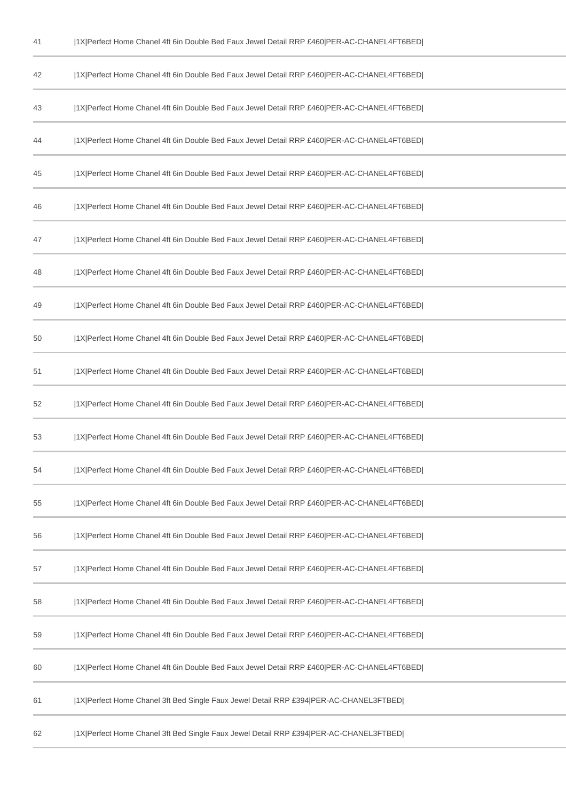| 42 | 1X Perfect Home Chanel 4ft 6in Double Bed Faux Jewel Detail RRP £460 PER-AC-CHANEL4FT6BED |
|----|-------------------------------------------------------------------------------------------|
| 43 | 1X Perfect Home Chanel 4ft 6in Double Bed Faux Jewel Detail RRP £460 PER-AC-CHANEL4FT6BED |
| 44 | 1X Perfect Home Chanel 4ft 6in Double Bed Faux Jewel Detail RRP £460 PER-AC-CHANEL4FT6BED |
| 45 | 1X Perfect Home Chanel 4ft 6in Double Bed Faux Jewel Detail RRP £460 PER-AC-CHANEL4FT6BED |
| 46 | 1X Perfect Home Chanel 4ft 6in Double Bed Faux Jewel Detail RRP £460 PER-AC-CHANEL4FT6BED |
| 47 | 1X Perfect Home Chanel 4ft 6in Double Bed Faux Jewel Detail RRP £460 PER-AC-CHANEL4FT6BED |
| 48 | 1X Perfect Home Chanel 4ft 6in Double Bed Faux Jewel Detail RRP £460 PER-AC-CHANEL4FT6BED |
| 49 | 1X Perfect Home Chanel 4ft 6in Double Bed Faux Jewel Detail RRP £460 PER-AC-CHANEL4FT6BED |
| 50 | 1X Perfect Home Chanel 4ft 6in Double Bed Faux Jewel Detail RRP £460 PER-AC-CHANEL4FT6BED |
| 51 | 1X Perfect Home Chanel 4ft 6in Double Bed Faux Jewel Detail RRP £460 PER-AC-CHANEL4FT6BED |
| 52 | 1X Perfect Home Chanel 4ft 6in Double Bed Faux Jewel Detail RRP £460 PER-AC-CHANEL4FT6BED |
| 53 | 1X Perfect Home Chanel 4ft 6in Double Bed Faux Jewel Detail RRP £460 PER-AC-CHANEL4FT6BED |
| 54 | 1X Perfect Home Chanel 4ft 6in Double Bed Faux Jewel Detail RRP £460 PER-AC-CHANEL4FT6BED |
| 55 | 1X Perfect Home Chanel 4ft 6in Double Bed Faux Jewel Detail RRP £460 PER-AC-CHANEL4FT6BED |
| 56 | 1X Perfect Home Chanel 4ft 6in Double Bed Faux Jewel Detail RRP £460 PER-AC-CHANEL4FT6BED |
| 57 | 1X Perfect Home Chanel 4ft 6in Double Bed Faux Jewel Detail RRP £460 PER-AC-CHANEL4FT6BED |
| 58 | 1X Perfect Home Chanel 4ft 6in Double Bed Faux Jewel Detail RRP £460 PER-AC-CHANEL4FT6BED |
| 59 | 1X Perfect Home Chanel 4ft 6in Double Bed Faux Jewel Detail RRP £460 PER-AC-CHANEL4FT6BED |
| 60 | 1X Perfect Home Chanel 4ft 6in Double Bed Faux Jewel Detail RRP £460 PER-AC-CHANEL4FT6BED |
| 61 | 1X Perfect Home Chanel 3ft Bed Single Faux Jewel Detail RRP £394 PER-AC-CHANEL3FTBED      |
| 62 | 1X Perfect Home Chanel 3ft Bed Single Faux Jewel Detail RRP £394 PER-AC-CHANEL3FTBED      |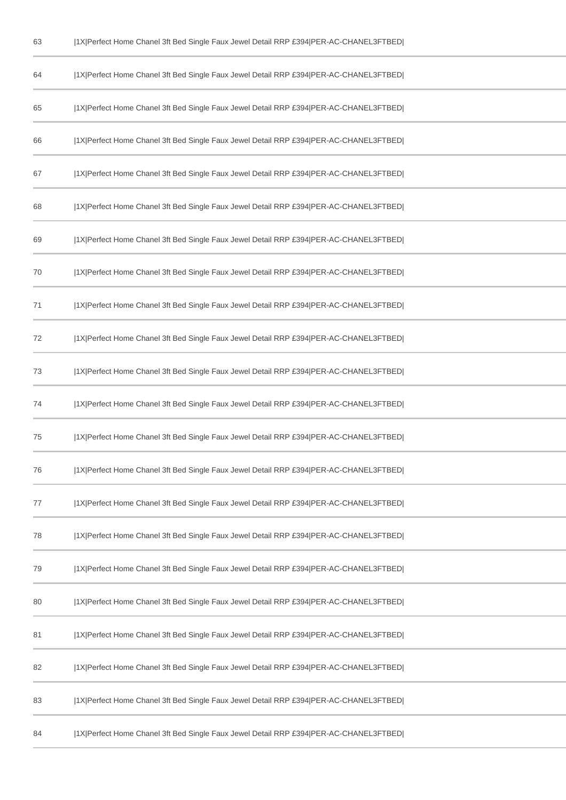| 63 | 1X Perfect Home Chanel 3ft Bed Single Faux Jewel Detail RRP £394 PER-AC-CHANEL3FTBED |
|----|--------------------------------------------------------------------------------------|
| 64 | 1X Perfect Home Chanel 3ft Bed Single Faux Jewel Detail RRP £394 PER-AC-CHANEL3FTBED |
| 65 | 1X Perfect Home Chanel 3ft Bed Single Faux Jewel Detail RRP £394 PER-AC-CHANEL3FTBED |
| 66 | 1X Perfect Home Chanel 3ft Bed Single Faux Jewel Detail RRP £394 PER-AC-CHANEL3FTBED |
| 67 | 1X Perfect Home Chanel 3ft Bed Single Faux Jewel Detail RRP £394 PER-AC-CHANEL3FTBED |
| 68 | 1X Perfect Home Chanel 3ft Bed Single Faux Jewel Detail RRP £394 PER-AC-CHANEL3FTBED |
| 69 | 1X Perfect Home Chanel 3ft Bed Single Faux Jewel Detail RRP £394 PER-AC-CHANEL3FTBED |
| 70 | 1X Perfect Home Chanel 3ft Bed Single Faux Jewel Detail RRP £394 PER-AC-CHANEL3FTBED |
| 71 | 1X Perfect Home Chanel 3ft Bed Single Faux Jewel Detail RRP £394 PER-AC-CHANEL3FTBED |
| 72 | 1X Perfect Home Chanel 3ft Bed Single Faux Jewel Detail RRP £394 PER-AC-CHANEL3FTBED |
| 73 | 1X Perfect Home Chanel 3ft Bed Single Faux Jewel Detail RRP £394 PER-AC-CHANEL3FTBED |
| 74 | 1X Perfect Home Chanel 3ft Bed Single Faux Jewel Detail RRP £394 PER-AC-CHANEL3FTBED |
| 75 | 1X Perfect Home Chanel 3ft Bed Single Faux Jewel Detail RRP £394 PER-AC-CHANEL3FTBED |
| 76 | 1X Perfect Home Chanel 3ft Bed Single Faux Jewel Detail RRP £394 PER-AC-CHANEL3FTBED |
| 77 | 1X Perfect Home Chanel 3ft Bed Single Faux Jewel Detail RRP £394 PER-AC-CHANEL3FTBED |
| 78 | 1X Perfect Home Chanel 3ft Bed Single Faux Jewel Detail RRP £394 PER-AC-CHANEL3FTBED |
| 79 | 1X Perfect Home Chanel 3ft Bed Single Faux Jewel Detail RRP £394 PER-AC-CHANEL3FTBED |
| 80 | 1X Perfect Home Chanel 3ft Bed Single Faux Jewel Detail RRP £394 PER-AC-CHANEL3FTBED |
| 81 | 1X Perfect Home Chanel 3ft Bed Single Faux Jewel Detail RRP £394 PER-AC-CHANEL3FTBED |
| 82 | 1X Perfect Home Chanel 3ft Bed Single Faux Jewel Detail RRP £394 PER-AC-CHANEL3FTBED |
| 83 | 1X Perfect Home Chanel 3ft Bed Single Faux Jewel Detail RRP £394 PER-AC-CHANEL3FTBED |
| 84 | 1X Perfect Home Chanel 3ft Bed Single Faux Jewel Detail RRP £394 PER-AC-CHANEL3FTBED |